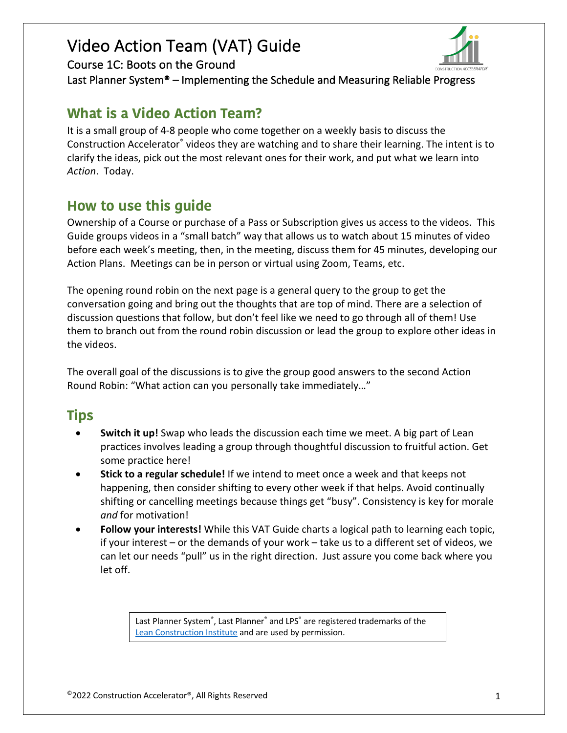

Course 1C: Boots on the Ground

Last Planner System® – Implementing the Schedule and Measuring Reliable Progress

### **What is a Video Action Team?**

It is a small group of 4-8 people who come together on a weekly basis to discuss the Construction Accelerator® videos they are watching and to share their learning. The intent is to clarify the ideas, pick out the most relevant ones for their work, and put what we learn into *Action*. Today.

### **How to use this guide**

Ownership of a Course or purchase of a Pass or Subscription gives us access to the videos. This Guide groups videos in a "small batch" way that allows us to watch about 15 minutes of video before each week's meeting, then, in the meeting, discuss them for 45 minutes, developing our Action Plans. Meetings can be in person or virtual using Zoom, Teams, etc.

The opening round robin on the next page is a general query to the group to get the conversation going and bring out the thoughts that are top of mind. There are a selection of discussion questions that follow, but don't feel like we need to go through all of them! Use them to branch out from the round robin discussion or lead the group to explore other ideas in the videos.

The overall goal of the discussions is to give the group good answers to the second Action Round Robin: "What action can you personally take immediately…"

## **Tips**

- **Switch it up!** Swap who leads the discussion each time we meet. A big part of Lean practices involves leading a group through thoughtful discussion to fruitful action. Get some practice here!
- **Stick to a regular schedule!** If we intend to meet once a week and that keeps not happening, then consider shifting to every other week if that helps. Avoid continually shifting or cancelling meetings because things get "busy". Consistency is key for morale *and* for motivation!
- **Follow your interests!** While this VAT Guide charts a logical path to learning each topic, if your interest – or the demands of your work – take us to a different set of videos, we can let our needs "pull" us in the right direction. Just assure you come back where you let off.

Last Planner System®, Last Planner® and LPS® are registered trademarks of the Lean Construction Institute and are used by permission.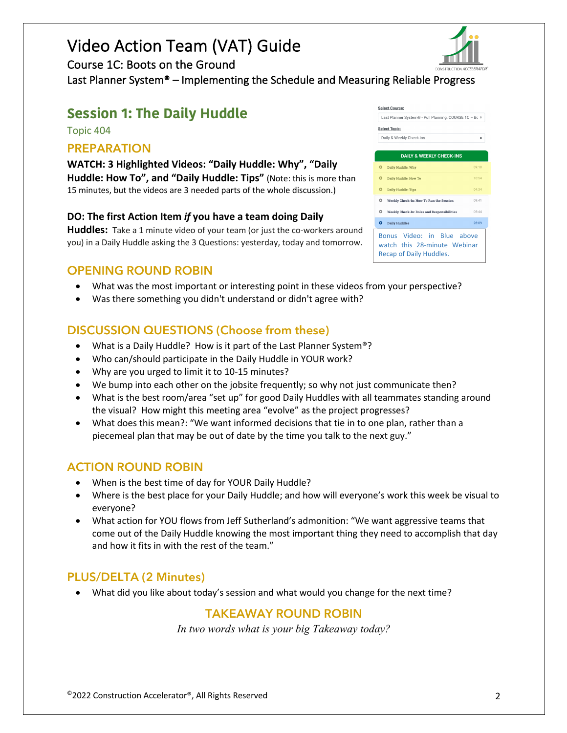Course 1C: Boots on the Ground

Last Planner System® – Implementing the Schedule and Measuring Reliable Progress

### **Session 1: The Daily Huddle**

Topic 404

#### **PREPARATION**

**WATCH: 3 Highlighted Videos: "Daily Huddle: Why", "Daily Huddle: How To", and "Daily Huddle: Tips"** (Note: this is more than 15 minutes, but the videos are 3 needed parts of the whole discussion.)

#### **DO: The first Action Item** *if* **you have a team doing Daily**

**Huddles:** Take a 1 minute video of your team (or just the co-workers around you) in a Daily Huddle asking the 3 Questions: yesterday, today and tomorrow.

#### **OPENING ROUND ROBIN**

- What was the most important or interesting point in these videos from your perspective?
- Was there something you didn't understand or didn't agree with?

#### **DISCUSSION QUESTIONS (Choose from these)**

- What is a Daily Huddle? How is it part of the Last Planner System®?
- Who can/should participate in the Daily Huddle in YOUR work?
- Why are you urged to limit it to 10-15 minutes?
- We bump into each other on the jobsite frequently; so why not just communicate then?
- What is the best room/area "set up" for good Daily Huddles with all teammates standing around the visual? How might this meeting area "evolve" as the project progresses?
- What does this mean?: "We want informed decisions that tie in to one plan, rather than a piecemeal plan that may be out of date by the time you talk to the next guy."

#### **ACTION ROUND ROBIN**

- When is the best time of day for YOUR Daily Huddle?
- Where is the best place for your Daily Huddle; and how will everyone's work this week be visual to everyone?
- What action for YOU flows from Jeff Sutherland's admonition: "We want aggressive teams that come out of the Daily Huddle knowing the most important thing they need to accomplish that day and how it fits in with the rest of the team."

#### **PLUS/DELTA (2 Minutes)**

• What did you like about today's session and what would you change for the next time?

#### **TAKEAWAY ROUND ROBIN**

*In two words what is your big Takeaway today?*



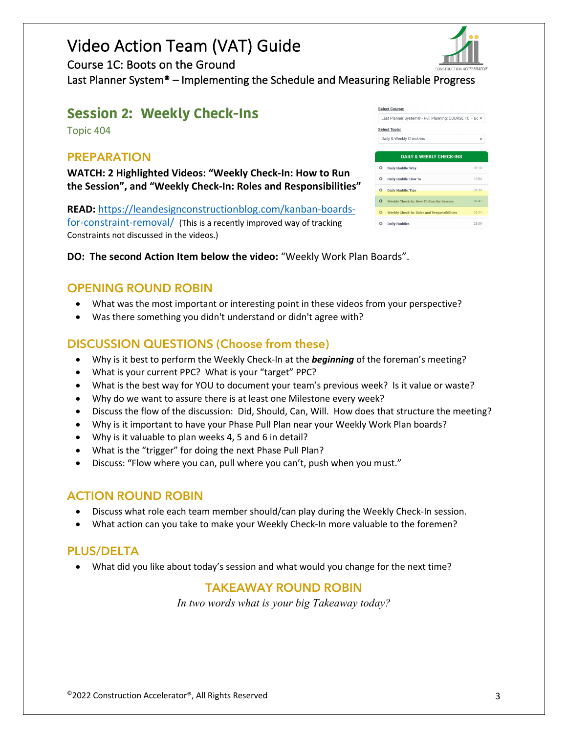

Course 1C: Boots on the Ground

Last Planner System® – Implementing the Schedule and Measuring Reliable Progress

#### **Session 2: Weekly Check-Ins**

Topic 404

#### **PREPARATION**

**WATCH: 2 Highlighted Videos: "Weekly Check-In: How to Run the Session", and "Weekly Check-In: Roles and Responsibilities"**

**READ:** https://leandesignconstructionblog.com/kanban-boardsfor-constraint-removal/ (This is a recently improved way of tracking Constraints not discussed in the videos.)

|   | <b>Select Course:</b>                                  |       |
|---|--------------------------------------------------------|-------|
|   | Last Planner System® - Pull Planning: COURSE 1C - Bc · |       |
|   | <b>Select Topic:</b>                                   |       |
|   | Daily & Weekly Check-ins                               | ٠     |
|   |                                                        |       |
|   | <b>DAILY &amp; WEEKLY CHECK-INS</b>                    |       |
| o | Daily Huddle: Why                                      | 09:10 |
| o | Daily Huddle: How To                                   | 10:54 |
| O | <b>Daily Huddle: Tips</b>                              | 04:34 |
| Q | Weekly Check-In: How To Run the Session                | 09:41 |
| ۵ | <b>Weekly Check-In: Roles and Responsibilities</b>     | 05:44 |
|   | <b>Daily Huddles</b>                                   | 28:09 |

**DO: The second Action Item below the video:** "Weekly Work Plan Boards".

#### **OPENING ROUND ROBIN**

- What was the most important or interesting point in these videos from your perspective?
- Was there something you didn't understand or didn't agree with?

#### **DISCUSSION QUESTIONS (Choose from these)**

- Why is it best to perform the Weekly Check-In at the *beginning* of the foreman's meeting?
- What is your current PPC? What is your "target" PPC?
- What is the best way for YOU to document your team's previous week? Is it value or waste?
- Why do we want to assure there is at least one Milestone every week?
- Discuss the flow of the discussion: Did, Should, Can, Will. How does that structure the meeting?
- Why is it important to have your Phase Pull Plan near your Weekly Work Plan boards?
- Why is it valuable to plan weeks 4, 5 and 6 in detail?
- What is the "trigger" for doing the next Phase Pull Plan?
- Discuss: "Flow where you can, pull where you can't, push when you must."

#### **ACTION ROUND ROBIN**

- Discuss what role each team member should/can play during the Weekly Check-In session.
- What action can you take to make your Weekly Check-In more valuable to the foremen?

#### **PLUS/DELTA**

• What did you like about today's session and what would you change for the next time?

#### **TAKEAWAY ROUND ROBIN**

*In two words what is your big Takeaway today?*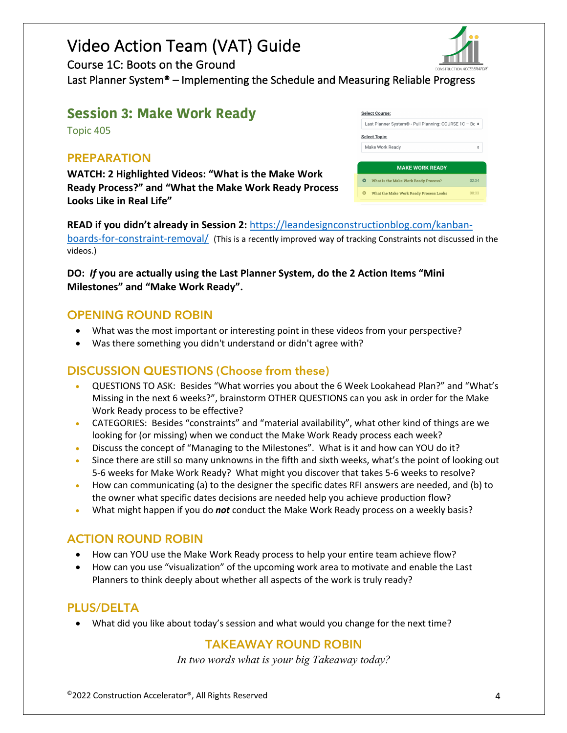Course 1C: Boots on the Ground

Last Planner System® – Implementing the Schedule and Measuring Reliable Progress

#### **Session 3: Make Work Ready**

Topic 405

#### **PREPARATION**

**WATCH: 2 Highlighted Videos: "What is the Make Work Ready Process?" and "What the Make Work Ready Process Looks Like in Real Life"**

| Last Planner System® - Pull Planning: COURSE 1C - Bc + |  |  |  |
|--------------------------------------------------------|--|--|--|
|                                                        |  |  |  |
|                                                        |  |  |  |
| ٠                                                      |  |  |  |
|                                                        |  |  |  |
| <b>MAKE WORK READY</b>                                 |  |  |  |
| 02.34                                                  |  |  |  |
| 08:33                                                  |  |  |  |
|                                                        |  |  |  |

**READ if you didn't already in Session 2:** https://leandesignconstructionblog.com/kanbanboards-for-constraint-removal/ (This is a recently improved way of tracking Constraints not discussed in the videos.)

#### **DO:** *If* **you are actually using the Last Planner System, do the 2 Action Items "Mini Milestones" and "Make Work Ready".**

#### **OPENING ROUND ROBIN**

- What was the most important or interesting point in these videos from your perspective?
- Was there something you didn't understand or didn't agree with?

#### **DISCUSSION QUESTIONS (Choose from these)**

- QUESTIONS TO ASK: Besides "What worries you about the 6 Week Lookahead Plan?" and "What's Missing in the next 6 weeks?", brainstorm OTHER QUESTIONS can you ask in order for the Make Work Ready process to be effective?
- CATEGORIES: Besides "constraints" and "material availability", what other kind of things are we looking for (or missing) when we conduct the Make Work Ready process each week?
- Discuss the concept of "Managing to the Milestones". What is it and how can YOU do it?
- Since there are still so many unknowns in the fifth and sixth weeks, what's the point of looking out 5-6 weeks for Make Work Ready? What might you discover that takes 5-6 weeks to resolve?
- How can communicating (a) to the designer the specific dates RFI answers are needed, and (b) to the owner what specific dates decisions are needed help you achieve production flow?
- What might happen if you do *not* conduct the Make Work Ready process on a weekly basis?

#### **ACTION ROUND ROBIN**

- How can YOU use the Make Work Ready process to help your entire team achieve flow?
- How can you use "visualization" of the upcoming work area to motivate and enable the Last Planners to think deeply about whether all aspects of the work is truly ready?

#### **PLUS/DELTA**

• What did you like about today's session and what would you change for the next time?

### **TAKEAWAY ROUND ROBIN**

*In two words what is your big Takeaway today?*